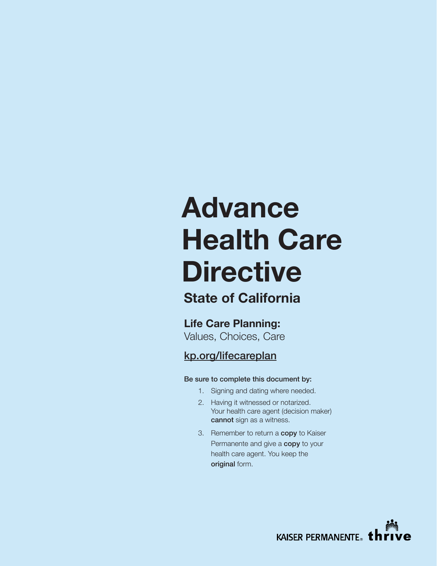# **Advance Health Care Directive**

## **State of California**

**Life Care Planning:** Values, Choices, Care

## [kp.org/lifecareplan](http://kp.org/lifecareplan)

#### Be sure to complete this document by:

- 1. Signing and dating where needed.
- 2. Having it witnessed or notarized. Your health care agent (decision maker) cannot sign as a witness.
- 3. Remember to return a **copy** to Kaiser Permanente and give a copy to your health care agent. You keep the original form.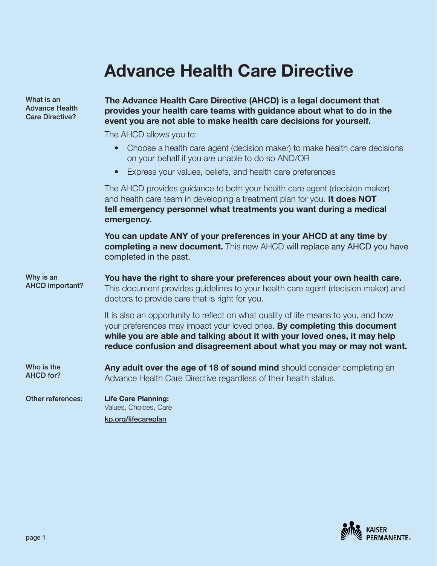## **Advance Health Care Directive**

**The Advance Health Care Directive (AHCD) is a legal document that** 

What is an Advance Health Care Directive?

| Advance Health<br><b>Care Directive?</b> | provides your health care teams with guidance about what to do in the<br>event you are not able to make health care decisions for yourself.                                                                                                                                                                          |  |  |  |  |
|------------------------------------------|----------------------------------------------------------------------------------------------------------------------------------------------------------------------------------------------------------------------------------------------------------------------------------------------------------------------|--|--|--|--|
|                                          | The AHCD allows you to:                                                                                                                                                                                                                                                                                              |  |  |  |  |
|                                          | Choose a health care agent (decision maker) to make health care decisions<br>$\bullet$<br>on your behalf if you are unable to do so AND/OR                                                                                                                                                                           |  |  |  |  |
|                                          | Express your values, beliefs, and health care preferences<br>$\bullet$                                                                                                                                                                                                                                               |  |  |  |  |
|                                          | The AHCD provides guidance to both your health care agent (decision maker)<br>and health care team in developing a treatment plan for you. It does NOT<br>tell emergency personnel what treatments you want during a medical<br>emergency.                                                                           |  |  |  |  |
|                                          | You can update ANY of your preferences in your AHCD at any time by<br>completing a new document. This new AHCD will replace any AHCD you have<br>completed in the past.                                                                                                                                              |  |  |  |  |
| Why is an<br><b>AHCD important?</b>      | You have the right to share your preferences about your own health care.<br>This document provides guidelines to your health care agent (decision maker) and<br>doctors to provide care that is right for you.                                                                                                       |  |  |  |  |
|                                          | It is also an opportunity to reflect on what quality of life means to you, and how<br>your preferences may impact your loved ones. By completing this document<br>while you are able and talking about it with your loved ones, it may help<br>reduce confusion and disagreement about what you may or may not want. |  |  |  |  |
| Who is the<br><b>AHCD for?</b>           | Any adult over the age of 18 of sound mind should consider completing an<br>Advance Health Care Directive regardless of their health status.                                                                                                                                                                         |  |  |  |  |
| Other references:                        | <b>Life Care Planning:</b><br>Values, Choices, Care                                                                                                                                                                                                                                                                  |  |  |  |  |
|                                          | kp.org/lifecareplan                                                                                                                                                                                                                                                                                                  |  |  |  |  |

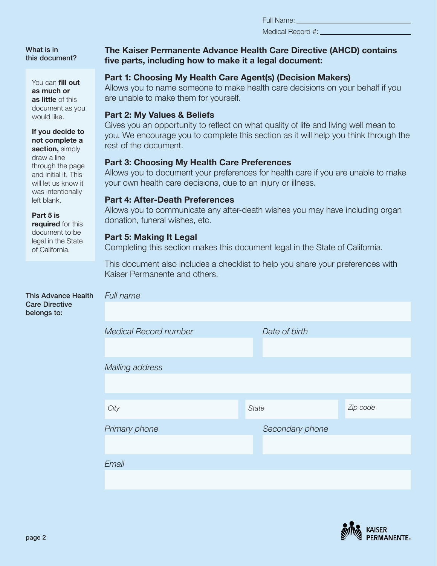Medical Record #:

What is in this document?

> You can **fill out as much or as little** of this document as you would like.

#### **If you decide to not complete a section,** simply

draw a line through the page and initial it. This will let us know it was intentionally left blank.

#### **Part 5 is**

**required** for this document to be legal in the State of California.

#### This Advance Health Care Directive belongs to:

#### **The Kaiser Permanente Advance Health Care Directive (AHCD) contains five parts, including how to make it a legal document:**

### **Part 1: Choosing My Health Care Agent(s) (Decision Makers)**

Allows you to name someone to make health care decisions on your behalf if you are unable to make them for yourself.

#### **Part 2: My Values & Beliefs**

Gives you an opportunity to reflect on what quality of life and living well mean to you. We encourage you to complete this section as it will help you think through the rest of the document.

#### **Part 3: Choosing My Health Care Preferences**

Allows you to document your preferences for health care if you are unable to make your own health care decisions, due to an injury or illness.

#### **Part 4: After-Death Preferences**

Allows you to communicate any after-death wishes you may have including organ donation, funeral wishes, etc.

#### **Part 5: Making It Legal**

*Full name*

Completing this section makes this document legal in the State of California.

This document also includes a checklist to help you share your preferences with Kaiser Permanente and others.

| <b>FUILITE</b>        |                 |          |
|-----------------------|-----------------|----------|
|                       |                 |          |
| Medical Record number | Date of birth   |          |
|                       |                 |          |
| Mailing address       |                 |          |
|                       |                 |          |
| City                  | <b>State</b>    | Zip code |
| Primary phone         | Secondary phone |          |
|                       |                 |          |
| Email                 |                 |          |
|                       |                 |          |
|                       |                 |          |

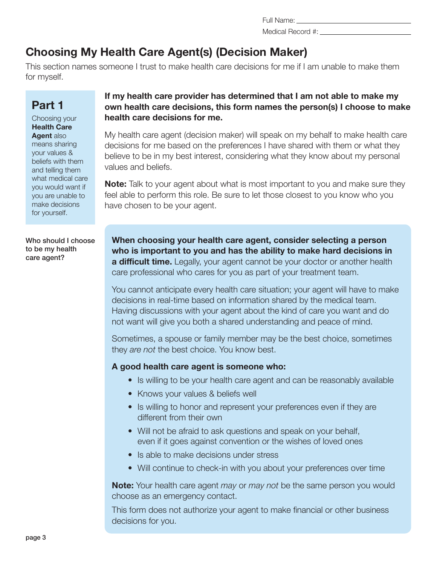Medical Record #:

## **Choosing My Health Care Agent(s) (Decision Maker)**

This section names someone I trust to make health care decisions for me if I am unable to make them for myself.

## **Part 1**

Choosing your **Health Care Agent** also means sharing your values & beliefs with them and telling them what medical care you would want if you are unable to make decisions for yourself.

Who should I choose to be my health care agent?

#### **If my health care provider has determined that I am not able to make my own health care decisions, this form names the person(s) I choose to make health care decisions for me.**

My health care agent (decision maker) will speak on my behalf to make health care decisions for me based on the preferences I have shared with them or what they believe to be in my best interest, considering what they know about my personal values and beliefs.

**Note:** Talk to your agent about what is most important to you and make sure they feel able to perform this role. Be sure to let those closest to you know who you have chosen to be your agent.

**When choosing your health care agent, consider selecting a person who is important to you and has the ability to make hard decisions in a difficult time.** Legally, your agent cannot be your doctor or another health care professional who cares for you as part of your treatment team.

You cannot anticipate every health care situation; your agent will have to make decisions in real-time based on information shared by the medical team. Having discussions with your agent about the kind of care you want and do not want will give you both a shared understanding and peace of mind.

Sometimes, a spouse or family member may be the best choice, sometimes they *are not* the best choice. You know best.

#### **A good health care agent is someone who:**

- Is willing to be your health care agent and can be reasonably available
- Knows your values & beliefs well
- Is willing to honor and represent your preferences even if they are different from their own
- Will not be afraid to ask questions and speak on your behalf, even if it goes against convention or the wishes of loved ones
- Is able to make decisions under stress
- Will continue to check-in with you about your preferences over time

**Note:** Your health care agent *may* or *may not* be the same person you would choose as an emergency contact.

This form does not authorize your agent to make financial or other business decisions for you.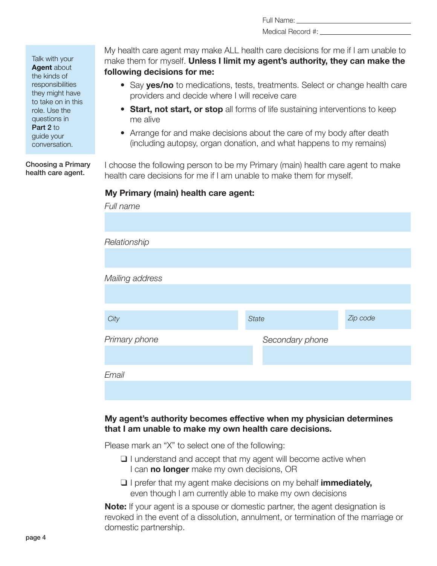Medical Record #:

Talk with your **Agent** about the kinds of responsibilities they might have to take on in this role. Use the questions in Part 2 to guide your conversation.

Choosing a Primary health care agent.

My health care agent may make ALL health care decisions for me if I am unable to make them for myself. **Unless I limit my agent's authority, they can make the following decisions for me:**

- Say **yes/no** to medications, tests, treatments. Select or change health care providers and decide where I will receive care
- **Start, not start, or stop** all forms of life sustaining interventions to keep me alive
- Arrange for and make decisions about the care of my body after death (including autopsy, organ donation, and what happens to my remains)

I choose the following person to be my Primary (main) health care agent to make health care decisions for me if I am unable to make them for myself.

#### **My Primary (main) health care agent:**

| Full name       |                 |          |
|-----------------|-----------------|----------|
|                 |                 |          |
| Relationship    |                 |          |
|                 |                 |          |
| Mailing address |                 |          |
|                 |                 |          |
| City            | <b>State</b>    | Zip code |
| Primary phone   | Secondary phone |          |
|                 |                 |          |
| Email           |                 |          |
|                 |                 |          |

#### **My agent's authority becomes effective when my physician determines that I am unable to make my own health care decisions.**

Please mark an "X" to select one of the following:

- ❑ I understand and accept that my agent will become active when I can **no longer** make my own decisions, OR
- ❑ I prefer that my agent make decisions on my behalf **immediately,** even though I am currently able to make my own decisions

**Note:** If your agent is a spouse or domestic partner, the agent designation is revoked in the event of a dissolution, annulment, or termination of the marriage or domestic partnership.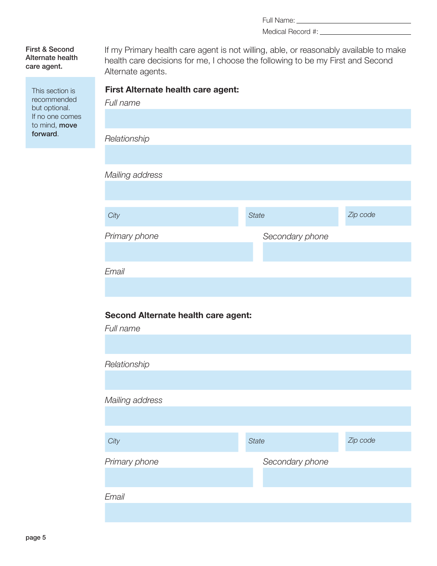Full Name: University of the Manuscripture of the Manuscripture of the Manuscripture of the Manuscripture of the Manuscripture of the Manuscripture of the Manuscripture of the Manuscripture of the Manuscripture of the Manu

Medical Record #:

First & Second Alternate health care agent.

> This section is recommended but optional. If no one comes to mind, move forward.

| health care decisions for me, I choose the following to be my First and Second<br>Alternate agents. |                 |          |  |  |  |
|-----------------------------------------------------------------------------------------------------|-----------------|----------|--|--|--|
| First Alternate health care agent:<br>Full name                                                     |                 |          |  |  |  |
|                                                                                                     |                 |          |  |  |  |
| Relationship                                                                                        |                 |          |  |  |  |
|                                                                                                     |                 |          |  |  |  |
| Mailing address                                                                                     |                 |          |  |  |  |
|                                                                                                     |                 |          |  |  |  |
| City                                                                                                | <b>State</b>    | Zip code |  |  |  |
| Primary phone                                                                                       | Secondary phone |          |  |  |  |
|                                                                                                     |                 |          |  |  |  |
| Email                                                                                               |                 |          |  |  |  |

If my Primary health care agent is not willing, able, or reasonably available to make

#### **Second Alternate health care agent:**

| Full name       |              |                 |          |
|-----------------|--------------|-----------------|----------|
|                 |              |                 |          |
| Relationship    |              |                 |          |
|                 |              |                 |          |
| Mailing address |              |                 |          |
|                 |              |                 |          |
|                 |              |                 |          |
| City            | <b>State</b> |                 | Zip code |
| Primary phone   |              | Secondary phone |          |
|                 |              |                 |          |
| Email           |              |                 |          |
|                 |              |                 |          |
|                 |              |                 |          |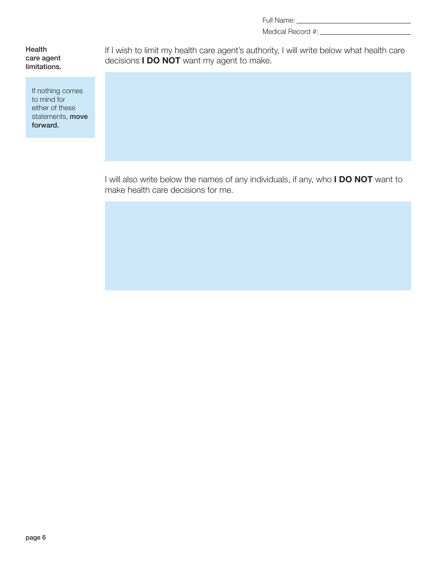Medical Record #:

**Health** care agent limitations.

> If nothing comes to mind for either of these statements, **move** forward.

If I wish to limit my health care agent's authority, I will write below what health care decisions **I DO NOT** want my agent to make.

I will also write below the names of any individuals, if any, who **I DO NOT** want to make health care decisions for me.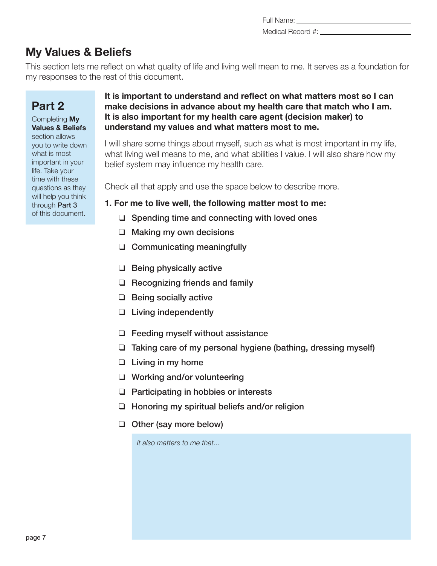Full Name: Medical Record #:

## **My Values & Beliefs**

This section lets me reflect on what quality of life and living well mean to me. It serves as a foundation for my responses to the rest of this document.

## **Part 2**

Completing **My Values & Beliefs**  section allows you to write down what is most important in your life. Take your time with these questions as they will help you think through Part 3 of this document.

#### **It is important to understand and reflect on what matters most so I can make decisions in advance about my health care that match who I am. It is also important for my health care agent (decision maker) to understand my values and what matters most to me.**

I will share some things about myself, such as what is most important in my life, what living well means to me, and what abilities I value. I will also share how my belief system may influence my health care.

Check all that apply and use the space below to describe more.

#### **1. For me to live well, the following matter most to me:**

- ❑ Spending time and connecting with loved ones
- ❑ Making my own decisions
- ❑ Communicating meaningfully
- ❑ Being physically active
- ❑ Recognizing friends and family
- ❑ Being socially active
- ❑ Living independently
- ❑ Feeding myself without assistance
- ❑ Taking care of my personal hygiene (bathing, dressing myself)
- ❑ Living in my home
- ❑ Working and/or volunteering
- ❑ Participating in hobbies or interests
- ❑ Honoring my spiritual beliefs and/or religion
- ❑ Other (say more below)

*It also matters to me that...*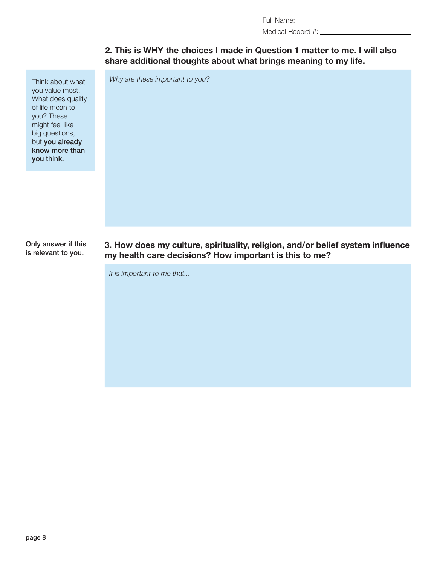Medical Record #:

#### **2. This is WHY the choices I made in Question 1 matter to me. I will also share additional thoughts about what brings meaning to my life.**

*Why are these important to you?*

Think about what you value most. What does quality of life mean to you? These might feel like big questions, but you already know more than you think.

Only answer if this is relevant to you.

**3. How does my culture, spirituality, religion, and/or belief system influence my health care decisions? How important is this to me?**

*It is important to me that...*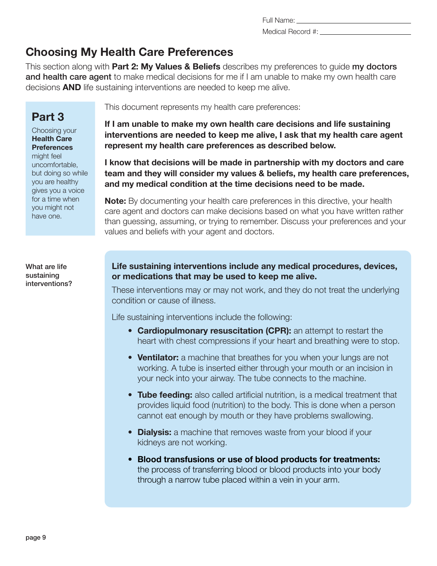page 9

uncomfortable, but doing so while you are healthy gives you a voice for a time when you might not have one.

What are life sustaining interventions?

This section along with **Part 2: My Values & Beliefs** describes my preferences to guide my doctors and health care agent to make medical decisions for me if I am unable to make my own health care decisions **AND** life sustaining interventions are needed to keep me alive.

**Choosing My Health Care Preferences**

## **Part 3**

Choosing your **Health Care Preferences**  might feel

This document represents my health care preferences:

**If I am unable to make my own health care decisions and life sustaining interventions are needed to keep me alive, I ask that my health care agent represent my health care preferences as described below.**

**I know that decisions will be made in partnership with my doctors and care team and they will consider my values & beliefs, my health care preferences, and my medical condition at the time decisions need to be made.**

**Note:** By documenting your health care preferences in this directive, your health care agent and doctors can make decisions based on what you have written rather than guessing, assuming, or trying to remember. Discuss your preferences and your values and beliefs with your agent and doctors.

**Life sustaining interventions include any medical procedures, devices, or medications that may be used to keep me alive.** 

These interventions may or may not work, and they do not treat the underlying condition or cause of illness.

Life sustaining interventions include the following:

- **Cardiopulmonary resuscitation (CPR):** an attempt to restart the heart with chest compressions if your heart and breathing were to stop.
- **Ventilator:** a machine that breathes for you when your lungs are not working. A tube is inserted either through your mouth or an incision in your neck into your airway. The tube connects to the machine.
- **Tube feeding:** also called artificial nutrition, is a medical treatment that provides liquid food (nutrition) to the body. This is done when a person cannot eat enough by mouth or they have problems swallowing.
- **Dialysis:** a machine that removes waste from your blood if your kidneys are not working.
- **Blood transfusions or use of blood products for treatments:** the process of transferring blood or blood products into your body through a narrow tube placed within a vein in your arm.

Full Name: Medical Record #: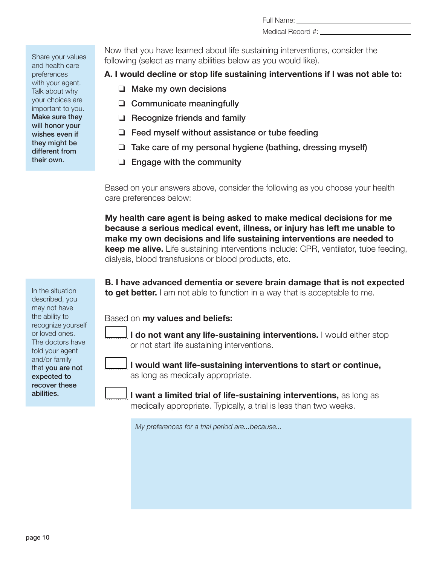Medical Record #:

Share your values and health care preferences with your agent. Talk about why your choices are important to you. Make sure they will honor your wishes even if they might be different from their own.

Now that you have learned about life sustaining interventions, consider the following (select as many abilities below as you would like).

**A. I would decline or stop life sustaining interventions if I was not able to:**

- ❑ Make my own decisions
- ❑ Communicate meaningfully
- ❑ Recognize friends and family
- ❑ Feed myself without assistance or tube feeding
- ❑ Take care of my personal hygiene (bathing, dressing myself)
- ❑ Engage with the community

Based on your answers above, consider the following as you choose your health care preferences below:

**My health care agent is being asked to make medical decisions for me because a serious medical event, illness, or injury has left me unable to make my own decisions and life sustaining interventions are needed to keep me alive.** Life sustaining interventions include: CPR, ventilator, tube feeding, dialysis, blood transfusions or blood products, etc.

**B. I have advanced dementia or severe brain damage that is not expected to get better.** I am not able to function in a way that is acceptable to me.

Based on **my values and beliefs:**

**I do not want any life-sustaining interventions.** I would either stop or not start life sustaining interventions.

**I would want life-sustaining interventions to start or continue,** as long as medically appropriate.

**I want a limited trial of life-sustaining interventions,** as long as medically appropriate. Typically, a trial is less than two weeks.

*My preferences for a trial period are...because...*

In the situation described, you may not have the ability to recognize yourself or loved ones. The doctors have told your agent and/or family that you are not expected to recover these abilities.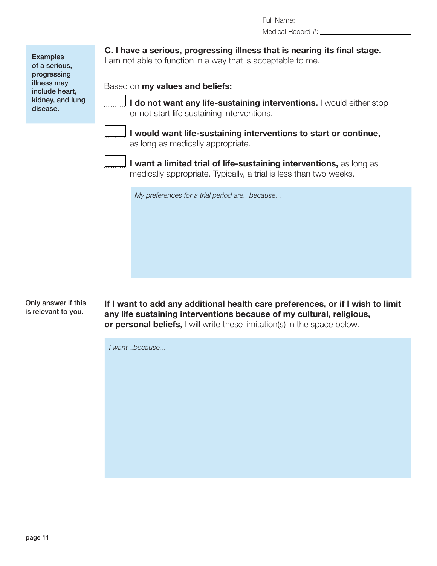Medical Record #:

**Examples** of a serious, progressing illness may include heart, kidney, and lung disease.

**C. I have a serious, progressing illness that is nearing its final stage.** 

I am not able to function in a way that is acceptable to me.

Based on **my values and beliefs:**

**I do not want any life-sustaining interventions.** I would either stop or not start life sustaining interventions.

|  | – | − | – | ī |
|--|---|---|---|---|

**I would want life-sustaining interventions to start or continue,** as long as medically appropriate.

|--|

**I want a limited trial of life-sustaining interventions,** as long as medically appropriate. Typically, a trial is less than two weeks.

*My preferences for a trial period are...because...*

Only answer if this is relevant to you.

**If I want to add any additional health care preferences, or if I wish to limit any life sustaining interventions because of my cultural, religious, or personal beliefs,** I will write these limitation(s) in the space below.

*I want...because...*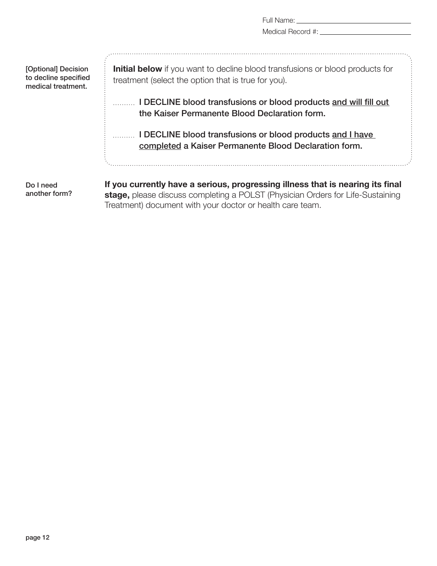|                                                                   | Full Name: The contract of the contract of the contract of the contract of the contract of the contract of the contract of the contract of the contract of the contract of the contract of the contract of the contract of the |
|-------------------------------------------------------------------|--------------------------------------------------------------------------------------------------------------------------------------------------------------------------------------------------------------------------------|
|                                                                   |                                                                                                                                                                                                                                |
| [Optional] Decision<br>to decline specified<br>medical treatment. | <b>Initial below</b> if you want to decline blood transfusions or blood products for<br>treatment (select the option that is true for you).                                                                                    |
|                                                                   | I DECLINE blood transfusions or blood products and will fill out<br>the Kaiser Permanente Blood Declaration form.                                                                                                              |
|                                                                   | I DECLINE blood transfusions or blood products and I have<br>completed a Kaiser Permanente Blood Declaration form.                                                                                                             |
| Do I need<br>another form?                                        | If you currently have a serious, progressing illness that is nearing its final<br>stage, please discuss completing a POLST (Physician Orders for Life-Sustaining<br>Treatment) document with your doctor or health care team.  |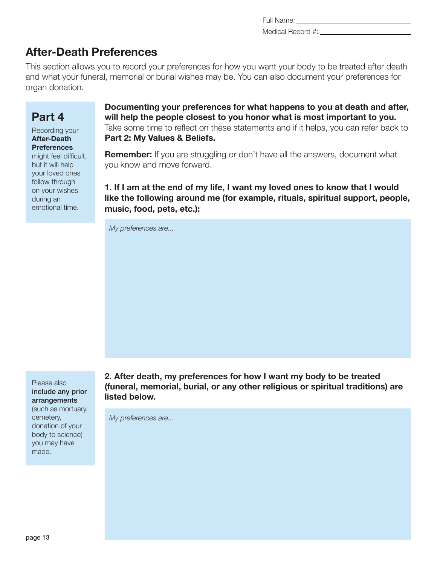Full Name: Medical Record #:

## **After-Death Preferences**

This section allows you to record your preferences for how you want your body to be treated after death and what your funeral, memorial or burial wishes may be. You can also document your preferences for organ donation.

## **Part 4**

Recording your **After-Death Preferences**  might feel difficult, but it will help your loved ones follow through on your wishes during an emotional time.

**Documenting your preferences for what happens to you at death and after, will help the people closest to you honor what is most important to you.**  Take some time to reflect on these statements and if it helps, you can refer back to **Part 2: My Values & Beliefs.**

**Remember:** If you are struggling or don't have all the answers, document what you know and move forward.

**1. If I am at the end of my life, I want my loved ones to know that I would like the following around me (for example, rituals, spiritual support, people, music, food, pets, etc.):**

*My preferences are...*

Please also include any prior arrangements (such as mortuary, cemetery, donation of your body to science) you may have made.

**2. After death, my preferences for how I want my body to be treated (funeral, memorial, burial, or any other religious or spiritual traditions) are listed below.**

*My preferences are...*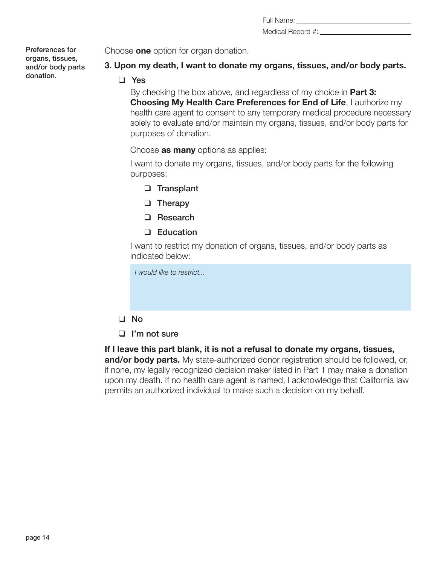| Full Name: |  |  |
|------------|--|--|
|            |  |  |

Medical Record #:

Preferences for organs, tissues, and/or body parts donation.

Choose **one** option for organ donation.

#### **3. Upon my death, I want to donate my organs, tissues, and/or body parts.**

❑ Yes

By checking the box above, and regardless of my choice in **Part 3: Choosing My Health Care Preferences for End of Life**, I authorize my health care agent to consent to any temporary medical procedure necessary solely to evaluate and/or maintain my organs, tissues, and/or body parts for purposes of donation.

Choose **as many** options as applies:

I want to donate my organs, tissues, and/or body parts for the following purposes:

- ❑ Transplant
- ❑ Therapy
- ❑ Research
- ❑ Education

I want to restrict my donation of organs, tissues, and/or body parts as indicated below:

| I would like to restrict |
|--------------------------|
|                          |
|                          |
| $\Box$ No                |
| $\Box$ I'm not sure      |

**If I leave this part blank, it is not a refusal to donate my organs, tissues, and/or body parts.** My state-authorized donor registration should be followed, or, if none, my legally recognized decision maker listed in Part 1 may make a donation upon my death. If no health care agent is named, I acknowledge that California law permits an authorized individual to make such a decision on my behalf.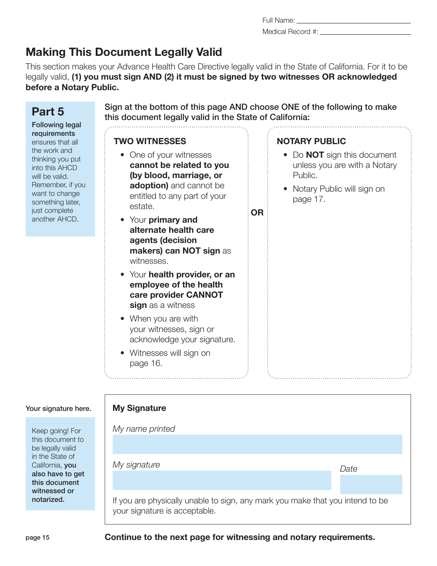## **Making This Document Legally Valid**

This section makes your Advance Health Care Directive legally valid in the State of California. For it to be legally valid, **(1) you must sign AND (2) it must be signed by two witnesses OR acknowledged before a Notary Public.**

#### **Part 5** Following legal requirements ensures that all the work and thinking you put into this AHCD will be valid. Remember, if you want to change something later, just complete another AHCD. Sign at the bottom of this page AND choose ONE of the following to make this document legally valid in the State of California: **TWO WITNESSES** • One of your witnesses **cannot be related to you (by blood, marriage, or adoption)** and cannot be entitled to any part of your estate. • Your **primary and alternate health care agents (decision makers) can NOT sign** as witnesses. • Your **health provider, or an employee of the health care provider CANNOT sign** as a witness • When you are with your witnesses, sign or acknowledge your signature. • Witnesses will sign on page 16. **OR NOTARY PUBLIC** • Do **NOT** sign this document unless you are with a Notary Public. • Notary Public will sign on page 17.

#### Your signature here.

| Keep going! For  |  |  |  |  |
|------------------|--|--|--|--|
| this document to |  |  |  |  |
| be legally valid |  |  |  |  |
| in the State of  |  |  |  |  |
| California, you  |  |  |  |  |
| also have to get |  |  |  |  |
| this document    |  |  |  |  |
| witnessed or     |  |  |  |  |
| notarized.       |  |  |  |  |
|                  |  |  |  |  |

|   | $\mathbf{D}$ (2) it must be signed by two withesses $\mathbf{D}$ |                                                  |  |
|---|------------------------------------------------------------------|--------------------------------------------------|--|
|   |                                                                  |                                                  |  |
|   |                                                                  |                                                  |  |
| . | $\blacksquare$                                                   | $\sim$ $\sim$ $\sim$ $\sim$ $\sim$ $\sim$ $\sim$ |  |

**My Signature**

*My name printed*

If you are physically unable to sign, any mark you make that you intend to be your signature is acceptable.

*My signature Date*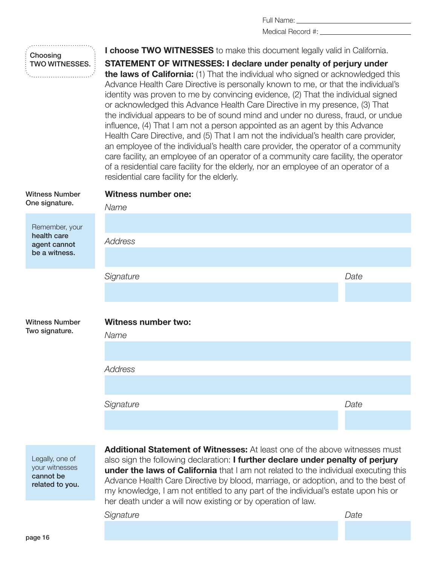Medical Record #:

## Choosing TWO WITNESSES.

Witness Number

**I choose TWO WITNESSES** to make this document legally valid in California.

**STATEMENT OF WITNESSES: I declare under penalty of perjury under the laws of California:** (1) That the individual who signed or acknowledged this Advance Health Care Directive is personally known to me, or that the individual's identity was proven to me by convincing evidence, (2) That the individual signed or acknowledged this Advance Health Care Directive in my presence, (3) That the individual appears to be of sound mind and under no duress, fraud, or undue influence, (4) That I am not a person appointed as an agent by this Advance Health Care Directive, and (5) That I am not the individual's health care provider, an employee of the individual's health care provider, the operator of a community care facility, an employee of an operator of a community care facility, the operator of a residential care facility for the elderly, nor an employee of an operator of a residential care facility for the elderly.

#### **Witness number one:**

One signature. Remember, your health care agent cannot be a witness. *Name Address Signature Date* Witness Number Two signature. **Witness number two:**  *Name Address Signature Date*

Legally, one of your witnesses cannot be related to you.

**Additional Statement of Witnesses:** At least one of the above witnesses must also sign the following declaration: **I further declare under penalty of perjury under the laws of California** that I am not related to the individual executing this Advance Health Care Directive by blood, marriage, or adoption, and to the best of my knowledge, I am not entitled to any part of the individual's estate upon his or her death under a will now existing or by operation of law.

*Signature Date*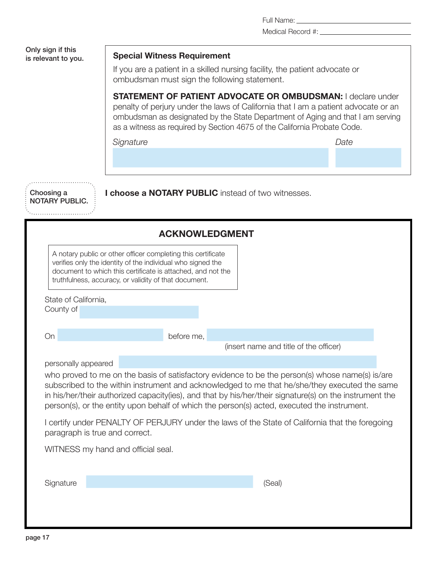|                                                                                           | Medical Record #: ___                                                                                                                                                                                                                                                                                                                                                                                      |
|-------------------------------------------------------------------------------------------|------------------------------------------------------------------------------------------------------------------------------------------------------------------------------------------------------------------------------------------------------------------------------------------------------------------------------------------------------------------------------------------------------------|
| Only sign if this<br>is relevant to you.                                                  | <b>Special Witness Requirement</b>                                                                                                                                                                                                                                                                                                                                                                         |
|                                                                                           | If you are a patient in a skilled nursing facility, the patient advocate or<br>ombudsman must sign the following statement.                                                                                                                                                                                                                                                                                |
|                                                                                           | <b>STATEMENT OF PATIENT ADVOCATE OR OMBUDSMAN:   declare under</b><br>penalty of perjury under the laws of California that I am a patient advocate or an<br>ombudsman as designated by the State Department of Aging and that I am serving<br>as a witness as required by Section 4675 of the California Probate Code.                                                                                     |
|                                                                                           | Date<br>Signature                                                                                                                                                                                                                                                                                                                                                                                          |
|                                                                                           |                                                                                                                                                                                                                                                                                                                                                                                                            |
| Choosing a<br>I choose a NOTARY PUBLIC instead of two witnesses.<br><b>NOTARY PUBLIC.</b> |                                                                                                                                                                                                                                                                                                                                                                                                            |
| <b>ACKNOWLEDGMENT</b>                                                                     |                                                                                                                                                                                                                                                                                                                                                                                                            |
|                                                                                           | A notary public or other officer completing this certificate<br>verifies only the identity of the individual who signed the<br>document to which this certificate is attached, and not the<br>truthfulness, accuracy, or validity of that document.                                                                                                                                                        |
| State of California,<br>County of                                                         |                                                                                                                                                                                                                                                                                                                                                                                                            |
| On                                                                                        | before me,<br>(insert name and title of the officer)                                                                                                                                                                                                                                                                                                                                                       |
| personally appeared                                                                       | who proved to me on the basis of satisfactory evidence to be the person(s) whose name(s) is/are<br>subscribed to the within instrument and acknowledged to me that he/she/they executed the same<br>in his/her/their authorized capacity(ies), and that by his/her/their signature(s) on the instrument the<br>person(s), or the entity upon behalf of which the person(s) acted, executed the instrument. |
| paragraph is true and correct.                                                            | I certify under PENALTY OF PERJURY under the laws of the State of California that the foregoing                                                                                                                                                                                                                                                                                                            |
|                                                                                           | WITNESS my hand and official seal.                                                                                                                                                                                                                                                                                                                                                                         |
| Signature                                                                                 | (Seal)                                                                                                                                                                                                                                                                                                                                                                                                     |
|                                                                                           |                                                                                                                                                                                                                                                                                                                                                                                                            |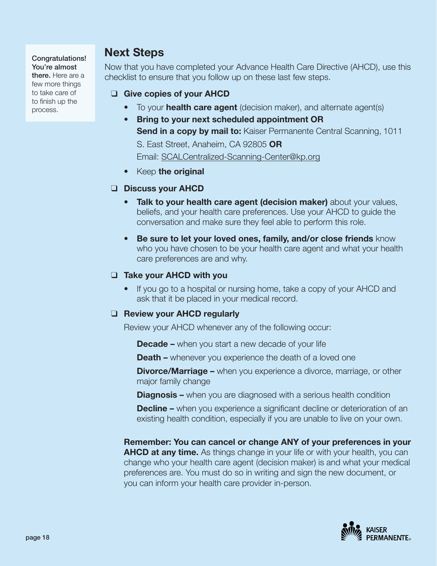#### Congratulations! You're almost there. Here are a few more things to take care of to finish up the process.

## **Next Steps**

Now that you have completed your Advance Health Care Directive (AHCD), use this checklist to ensure that you follow up on these last few steps.

#### ❑ **Give copies of your AHCD**

- To your **health care agent** (decision maker), and alternate agent(s)
- **Bring to your next scheduled appointment OR Send in a copy by mail to: Kaiser Permanente Central Scanning, 1011** S. East Street, Anaheim, CA 92805 **OR** Email: SCALCentralized-Scanning-Center@kp.org
- Keep **the original**

#### ❑ **Discuss your AHCD**

- **Talk to your health care agent (decision maker)** about your values, beliefs, and your health care preferences. Use your AHCD to guide the conversation and make sure they feel able to perform this role.
- **Be sure to let your loved ones, family, and/or close friends** know who you have chosen to be your health care agent and what your health care preferences are and why.

#### ❑ **Take your AHCD with you**

• If you go to a hospital or nursing home, take a copy of your AHCD and ask that it be placed in your medical record.

#### ❑ **Review your AHCD regularly**

Review your AHCD whenever any of the following occur:

**Decade –** when you start a new decade of your life

**Death –** whenever you experience the death of a loved one

**Divorce/Marriage –** when you experience a divorce, marriage, or other major family change

**Diagnosis –** when you are diagnosed with a serious health condition

**Decline** – when you experience a significant decline or deterioration of an existing health condition, especially if you are unable to live on your own.

**Remember: You can cancel or change ANY of your preferences in your AHCD at any time.** As things change in your life or with your health, you can change who your health care agent (decision maker) is and what your medical preferences are. You must do so in writing and sign the new document, or you can inform your health care provider in-person.